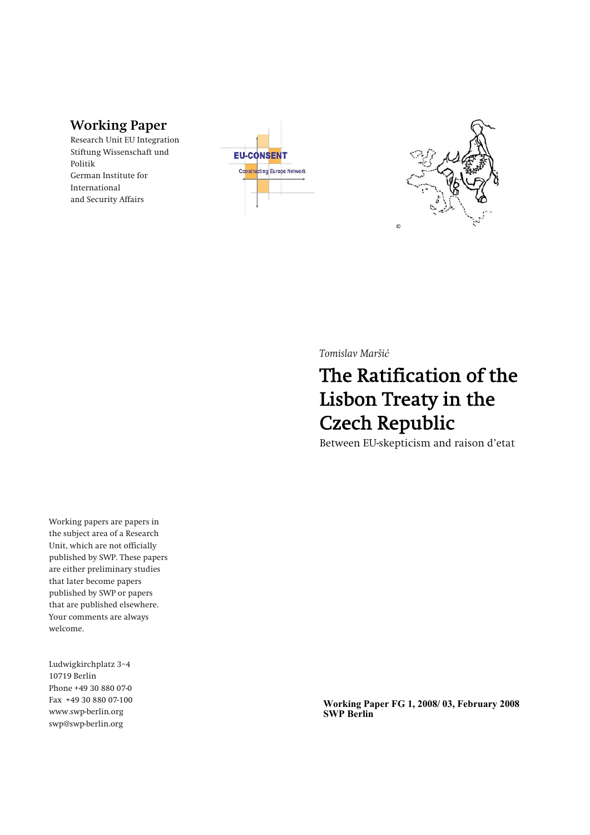**Working Paper Research Unit EU Integration Stiftung Wissenschaft und Politik German Institute for International and Security Affairs** 

**EU-CONSENT** Constructing Europe Network



*Tomislav Maršiü*

## The Ratification of the Lisbon Treaty in the Czech Republic

**Between EU-skepticism and raison d'etat** 

**Working papers are papers in the subject area of a Research Unit, which are not officially published by SWP. These papers are either preliminary studies that later become papers published by SWP or papers that are published elsewhere. Your comments are always welcome.**

Ludwigkirchplatz 3-4 **10719 Berlin Phone +49 30 880 07-0 Fax +49 30 880 07-100 www.swp-berlin.org swp@swp-berlin.org** 

**Working Paper FG 1, 2008/ 03, February 2008**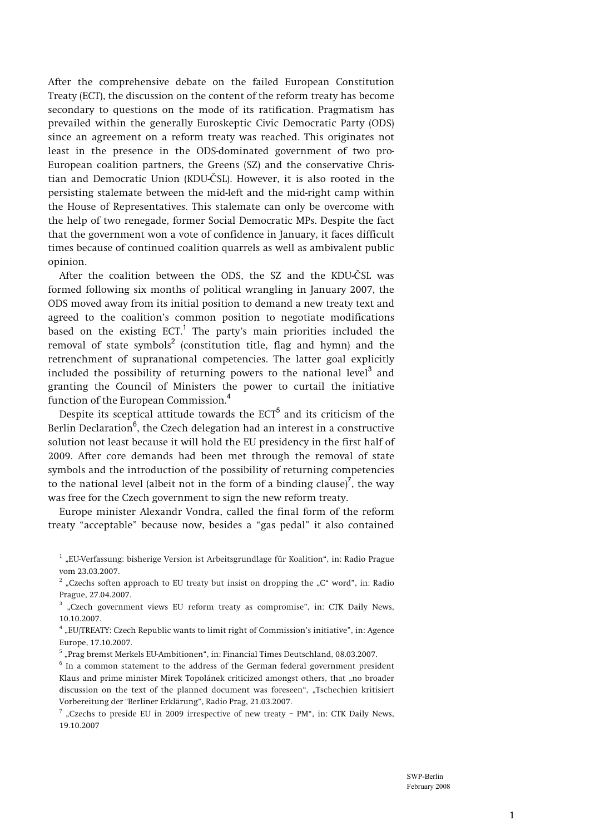**After the comprehensive debate on the failed European Constitution Treaty (ECT), the discussion on the content of the reform treaty has become secondary to questions on the mode of its ratification. Pragmatism has prevailed within the generally Euroskeptic Civic Democratic Party (ODS) since an agreement on a reform treaty was reached. This originates not least in the presence in the ODS-dominated government of two pro-European coalition partners, the Greens (SZ) and the conservative Chris**tian and Democratic Union (KDU-ČSL). However, it is also rooted in the **persisting stalemate between the mid-left and the mid-right camp within the House of Representatives. This stalemate can only be overcome with the help of two renegade, former Social Democratic MPs. Despite the fact that the government won a vote of confidence in January, it faces difficult times because of continued coalition quarrels as well as ambivalent public opinion.**

**After the coalition between the ODS, the SZ and the KDU-**ý**SL was formed following six months of political wrangling in January 2007, the ODS moved away from its initial position to demand a new treaty text and agreed to the coalition's common position to negotiate modifications based on the existing ECT.**<sup>1</sup>  **The party's main priorities included the removal of state symbols**<sup>2</sup>  **(constitution title, flag and hymn) and the retrenchment of supranational competencies. The latter goal explicitly included the possibility of returning powers to the national level**<sup>3</sup>  **and granting the Council of Ministers the power to curtail the initiative function of the European Commission.**<sup>4</sup>

**Despite its sceptical attitude towards the ECT**<sup>5</sup>  **and its criticism of the Berlin Declaration**<sup>6</sup> **, the Czech delegation had an interest in a constructive solution not least because it will hold the EU presidency in the first half of 2009. After core demands had been met through the removal of state symbols and the introduction of the possibility of returning competencies to the national level (albeit not in the form of a binding clause)**<sup>7</sup> **, the way was free for the Czech government to sign the new reform treaty.** 

**Europe minister Alexandr Vondra, called the final form of the reform treaty "acceptable" because now, besides a "gas pedal" it also contained** 

- <sup>2</sup> "Czechs soften approach to EU treaty but insist on dropping the "C" word", in: Radio **Prague, 27.04.2007.**
- <sup>3</sup> "Czech government views EU reform treaty as compromise", in: CTK Daily News, **10.10.2007.**

**4 "EU/TREATY: Czech Republic wants to limit right of Commission's initiative", in: Agence Europe, 17.10.2007.** 

<sup>5</sup> "Prag bremst Merkels EU-Ambitionen", in: Financial Times Deutschland, 08.03.2007.

**6 In a common statement to the address of the German federal government president**  Klaus and prime minister Mirek Topolánek criticized amongst others, that "no broader **discussion on the text of the planned document was foreseen", "Tschechien kritisiert Vorbereitung der "Berliner Erklärung", Radio Prag, 21.03.2007.** 

<sup>7</sup> "Czechs to preside EU in 2009 irrespective of new treaty - PM", in: CTK Daily News, **19.10.2007** 

<sup>&</sup>lt;sup>1</sup> "EU-Verfassung: bisherige Version ist Arbeitsgrundlage für Koalition", in: Radio Prague **vom 23.03.2007.**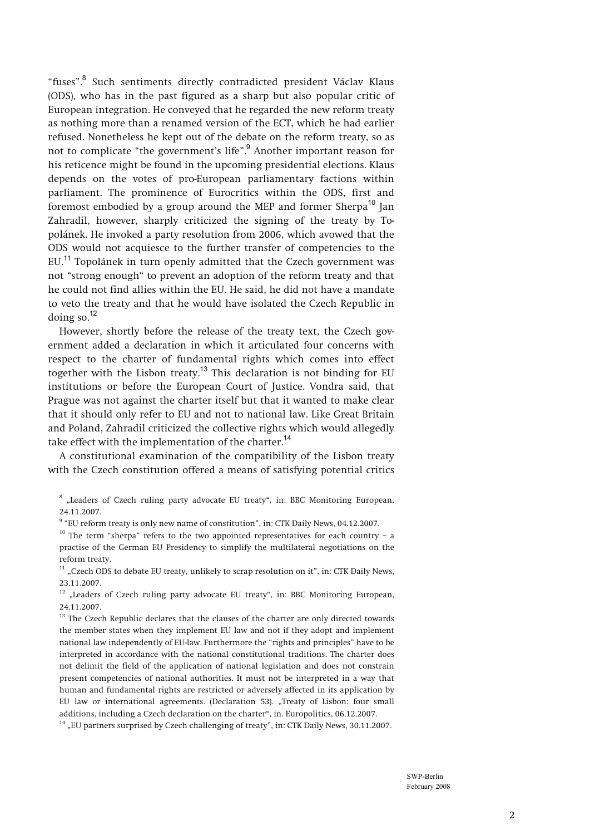**"fuses".**<sup>8</sup>  **Such sentiments directly contradicted president Václav Klaus (ODS), who has in the past figured as a sharp but also popular critic of European integration. He conveyed that he regarded the new reform treaty as nothing more than a renamed version of the ECT, which he had earlier refused. Nonetheless he kept out of the debate on the reform treaty, so as not to complicate "the government's life".**<sup>9</sup>  **Another important reason for his reticence might be found in the upcoming presidential elections. Klaus depends on the votes of pro-European parliamentary factions within parliament. The prominence of Eurocritics within the ODS, first and foremost embodied by a group around the MEP and former Sherpa**<sup>10</sup> **Jan Zahradil, however, sharply criticized the signing of the treaty by Topolánek. He invoked a party resolution from 2006, which avowed that the ODS would not acquiesce to the further transfer of competencies to the EU.**<sup>11</sup> **Topolánek in turn openly admitted that the Czech government was not "strong enough" to prevent an adoption of the reform treaty and that he could not find allies within the EU. He said, he did not have a mandate to veto the treaty and that he would have isolated the Czech Republic in doing so.**<sup>12</sup>

**However, shortly before the release of the treaty text, the Czech government added a declaration in which it articulated four concerns with respect to the charter of fundamental rights which comes into effect together with the Lisbon treaty.**<sup>13</sup> **This declaration is not binding for EU institutions or before the European Court of Justice. Vondra said, that Prague was not against the charter itself but that it wanted to make clear that it should only refer to EU and not to national law. Like Great Britain and Poland, Zahradil criticized the collective rights which would allegedly take effect with the implementation of the charter.**<sup>14</sup>

**A constitutional examination of the compatibility of the Lisbon treaty with the Czech constitution offered a means of satisfying potential critics** 

<sup>8</sup> "Leaders of Czech ruling party advocate EU treaty", in: BBC Monitoring European, **24.11.2007.** 

<sup>9</sup> "EU reform treaty is only new name of constitution", in: CTK Daily News, 04.12.2007.

<sup>10</sup> The term "sherpa" refers to the two appointed representatives for each country – a **practise of the German EU Presidency to simplify the multilateral negotiations on the reform treaty.** 

<sup>11</sup> "Czech ODS to debate EU treaty, unlikely to scrap resolution on it", in: CTK Daily News, **23.11.2007.** 

<sup>12</sup> "Leaders of Czech ruling party advocate EU treaty", in: BBC Monitoring European, **24.11.2007.** 

<sup>13</sup> The Czech Republic declares that the clauses of the charter are only directed towards **the member states when they implement EU law and not if they adopt and implement national law independently of EU-law. Furthermore the "rights and principles" have to be interpreted in accordance with the national constitutional traditions. The charter does not delimit the field of the application of national legislation and does not constrain present competencies of national authorities. It must not be interpreted in a way that human and fundamental rights are restricted or adversely affected in its application by EU law or international agreements. (Declaration 53). "Treaty of Lisbon: four small**  additions, including a Czech declaration on the charter", in. Europolitics, 06.12.2007.<br><sup>14</sup> "EU partners surprised by Czech challenging of treaty", in: CTK Daily News, 30.11.2007.

> SWP-Berlin February 2008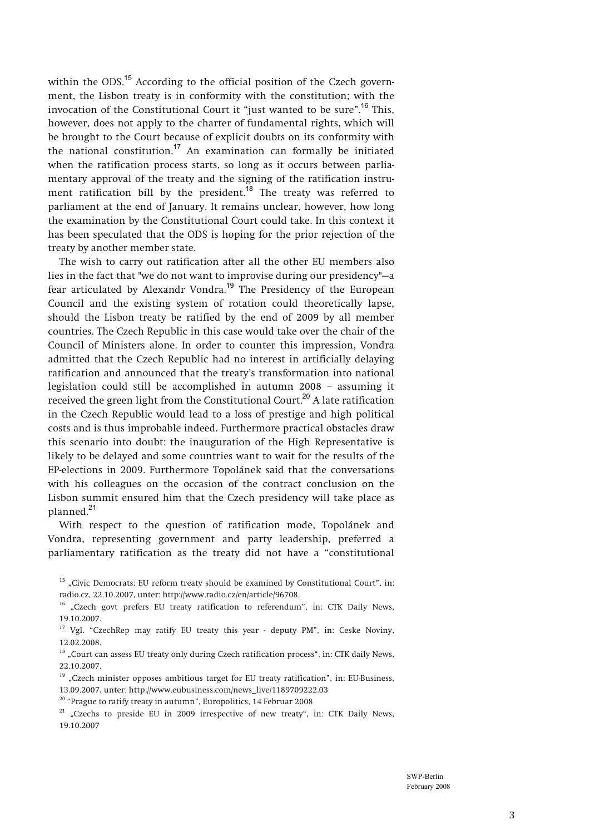within the ODS.<sup>15</sup> According to the official position of the Czech govern**ment, the Lisbon treaty is in conformity with the constitution; with the invocation of the Constitutional Court it "just wanted to be sure".**<sup>16</sup> **This, however, does not apply to the charter of fundamental rights, which will be brought to the Court because of explicit doubts on its conformity with the national constitution.**<sup>17</sup> **An examination can formally be initiated when the ratification process starts, so long as it occurs between parliamentary approval of the treaty and the signing of the ratification instru**ment ratification bill by the president.<sup>18</sup> The treaty was referred to **parliament at the end of January. It remains unclear, however, how long the examination by the Constitutional Court could take. In this context it has been speculated that the ODS is hoping for the prior rejection of the treaty by another member state.** 

**The wish to carry out ratification after all the other EU members also lies in the fact that "we do not want to improvise during our presidency"—a fear articulated by Alexandr Vondra.**<sup>19</sup> **The Presidency of the European Council and the existing system of rotation could theoretically lapse, should the Lisbon treaty be ratified by the end of 2009 by all member countries. The Czech Republic in this case would take over the chair of the Council of Ministers alone. In order to counter this impression, Vondra admitted that the Czech Republic had no interest in artificially delaying ratification and announced that the treaty's transformation into national legislation could still be accomplished in autumn 2008 – assuming it received the green light from the Constitutional Court.**<sup>20</sup> **A late ratification in the Czech Republic would lead to a loss of prestige and high political costs and is thus improbable indeed. Furthermore practical obstacles draw this scenario into doubt: the inauguration of the High Representative is likely to be delayed and some countries want to wait for the results of the EP-elections in 2009. Furthermore Topolánek said that the conversations with his colleagues on the occasion of the contract conclusion on the Lisbon summit ensured him that the Czech presidency will take place as planned.**<sup>21</sup>

**With respect to the question of ratification mode, Topolánek and Vondra, representing government and party leadership, preferred a parliamentary ratification as the treaty did not have a "constitutional** 

- <sup>15</sup> "Civic Democrats: EU reform treaty should be examined by Constitutional Court", in: **radio.cz, 22.10.2007, unter: http://www.radio.cz/en/article/96708.**
- **16 "Czech govt prefers EU treaty ratification to referendum", in: CTK Daily News, 19.10.2007.**
- **17 Vgl. "CzechRep may ratify EU treaty this year deputy PM", in: Ceske Noviny, 12.02.2008.**
- <sup>18</sup> "Court can assess EU treaty only during Czech ratification process", in: CTK daily News, **22.10.2007.**
- <sup>19</sup> "Czech minister opposes ambitious target for EU treaty ratification", in: EU-Business, **13.09.2007, unter: http://www.eubusiness.com/news\_live/1189709222.03**
- **20 "Prague to ratify treaty in autumn", Europolitics, 14 Februar 2008**

<sup>21</sup> "Czechs to preside EU in 2009 irrespective of new treaty", in: CTK Daily News, **19.10.2007**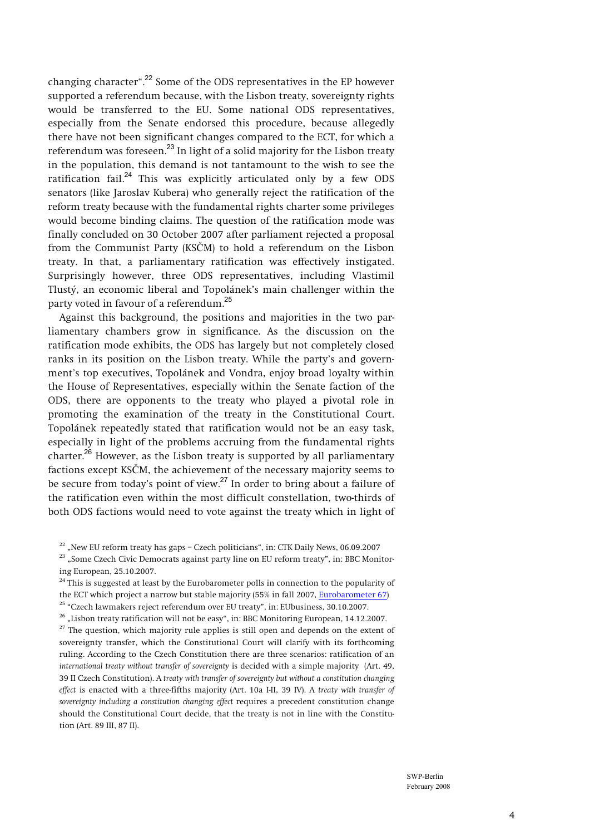**changing character".**<sup>22</sup> **Some of the ODS representatives in the EP however supported a referendum because, with the Lisbon treaty, sovereignty rights would be transferred to the EU. Some national ODS representatives, especially from the Senate endorsed this procedure, because allegedly there have not been significant changes compared to the ECT, for which a referendum was foreseen.**<sup>23</sup> **In light of a solid majority for the Lisbon treaty in the population, this demand is not tantamount to the wish to see the ratification fail.**<sup>24</sup> **This was explicitly articulated only by a few ODS senators (like Jaroslav Kubera) who generally reject the ratification of the reform treaty because with the fundamental rights charter some privileges would become binding claims. The question of the ratification mode was finally concluded on 30 October 2007 after parliament rejected a proposal from the Communist Party (KS**ý**M) to hold a referendum on the Lisbon treaty. In that, a parliamentary ratification was effectively instigated. Surprisingly however, three ODS representatives, including Vlastimil Tlustý, an economic liberal and Topolánek's main challenger within the party voted in favour of a referendum.**<sup>25</sup>

**Against this background, the positions and majorities in the two parliamentary chambers grow in significance. As the discussion on the ratification mode exhibits, the ODS has largely but not completely closed ranks in its position on the Lisbon treaty. While the party's and government's top executives, Topolánek and Vondra, enjoy broad loyalty within the House of Representatives, especially within the Senate faction of the ODS, there are opponents to the treaty who played a pivotal role in promoting the examination of the treaty in the Constitutional Court. Topolánek repeatedly stated that ratification would not be an easy task, especially in light of the problems accruing from the fundamental rights charter.**<sup>26</sup> **However, as the Lisbon treaty is supported by all parliamentary factions except KS**ý**M, the achievement of the necessary majority seems to be secure from today's point of view.**<sup>27</sup> **In order to bring about a failure of the ratification even within the most difficult constellation, two-thirds of both ODS factions would need to vote against the treaty which in light of** 

<sup>22</sup> "New EU reform treaty has gaps – Czech politicians", in: CTK Daily News, 06.09.2007<br><sup>23</sup> "Some Czech Civic Democrats against party line on EU reform treaty", in: BBC Monitor**ing European, 25.10.2007.** 

**24 This is suggested at least by the Eurobarometer polls in connection to the popularity of the ECT which project a narrow but stable majority (55% in fall 2007, Eurobarometer 67)** <sup>25</sup> "Czech lawmakers reject referendum over EU treaty", in: EUbusiness, 30.10.2007.<br><sup>26</sup> "Lisbon treaty ratification will not be easy", in: BBC Monitoring European, 14.12.2007.<br><sup>27</sup> The question, which majority rule appl

**sovereignty transfer, which the Constitutional Court will clarify with its forthcoming ruling. According to the Czech Constitution there are three scenarios: ratification of an**  *international treaty without transfer of sovereignty* **is decided with a simple majority (Art. 49, 39 II Czech Constitution). A** *treaty with transfer of sovereignty but without a constitution changing effect* **is enacted with a three-fifths majority (Art. 10a I-II, 39 IV). A** *treaty with transfer of sovereignty including a constitution changing effect* **requires a precedent constitution change should the Constitutional Court decide, that the treaty is not in line with the Constitution (Art. 89 III, 87 II).**